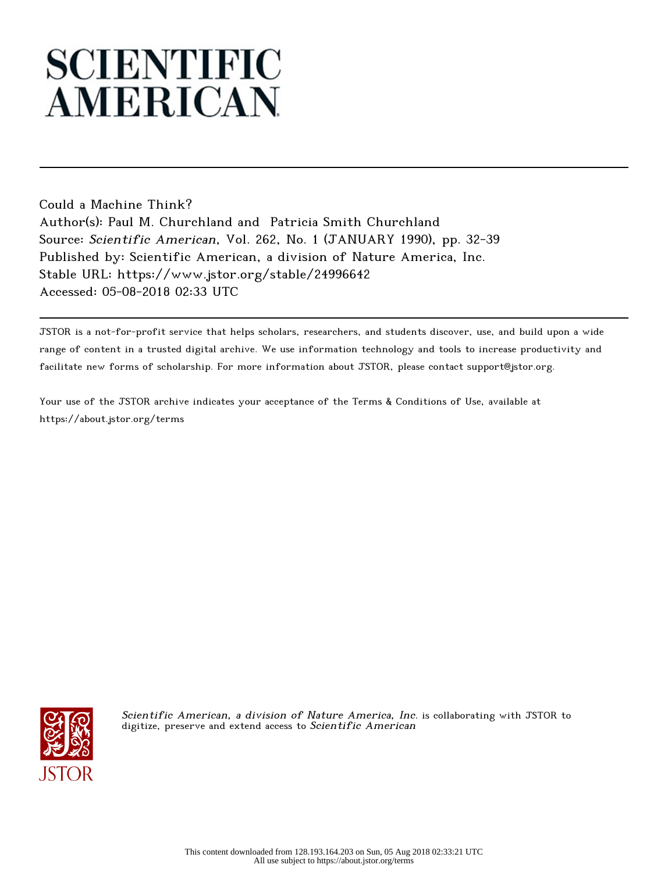# **SCIENTIFIC AMERICAN**

Could a Machine Think? Author(s): Paul M. Churchland and Patricia Smith Churchland Source: Scientific American, Vol. 262, No. 1 (JANUARY 1990), pp. 32-39 Published by: Scientific American, a division of Nature America, Inc. Stable URL: https://www.jstor.org/stable/24996642 Accessed: 05-08-2018 02:33 UTC

JSTOR is a not-for-profit service that helps scholars, researchers, and students discover, use, and build upon a wide range of content in a trusted digital archive. We use information technology and tools to increase productivity and facilitate new forms of scholarship. For more information about JSTOR, please contact support@jstor.org.

Your use of the JSTOR archive indicates your acceptance of the Terms & Conditions of Use, available at https://about.jstor.org/terms



Scientific American, a division of Nature America, Inc. is collaborating with JSTOR to digitize, preserve and extend access to Scientific American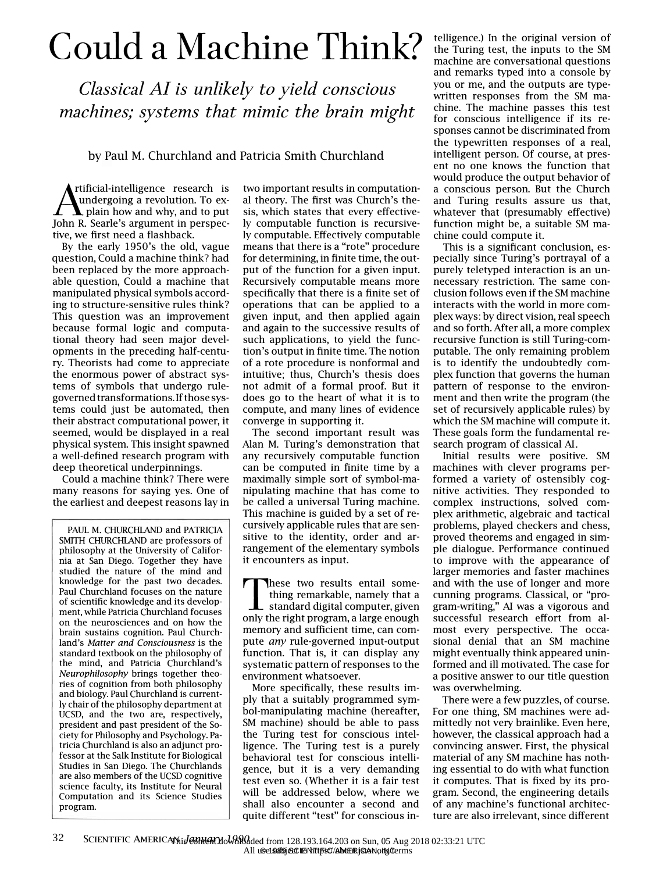## Could a Machine Think?

Classical AI is unlikely to yield conscious machines; systems that mimic the brain might

by Paul M. Churchland and Patricia Smith Churchland

rtificial-intelligence research is undergoing a revolution. To explain how and why, and to put John R. Searle's argument in perspective, we first need a flashback.

By the early 1950's the old, vague question, Could a machine think? had been replaced by the more approachable question, Could a machine that manipulated physical symbols according to structure-sensitive rules think? This question was an improvement because formal logic and computational theory had seen major developments in the preceding half-century. Theorists had come to appreciate the enormous power of abstract systems of symbols that undergo rulegoverned transformations. If those systems could just be automated, then their abstract computational power, it seemed, would be displayed in a real physical system. This insight spawned a well-defined research program with deep theoretical underpinnings.

Could a machine think? There were many reasons for saying yes. One of the earliest and deepest reasons lay in

PAUL M. CHURCHlAND and PATRICIA SMITH CHURCHLAND are professors of philosophy at the University of Califor· nia at San Diego. Together they have studied the nature of the mind and knowledge for the past two decades. Paul Churchland focuses on the nature of scientific knowledge and its develop· ment, while Patricia Churchland focuses on the neurosciences and on how the brain sustains cognition. Paul Church· land's Matter and Consciousness is the standard textbook on the philosophy of the mind, and Patricia Churchland's Neurophilosophy brings together theories of cognition from both philosophy and biology. Paul Churchland is current· ly chair of the philosophy department at UCSD, and the two are, respectively, president and past president of the So· ciety for Philosophy and Psychology. Patricia Churchland is also an adjunct professor at the Salk Institute for Biological Studies in San Diego. The Churchlands are also members of the UCSD cognitive science faculty, its Institute for Neural Computation and its Science Studies program.

two important results in computational theory. The first was Church's thesis, which states that every effectively computable function is recursively computable. Effectively computable means that there is a "rote" procedure for determining, in finite time, the output of the function for a given input. Recursively computable means more specifically that there is a finite set of operations that can be applied to a given input, and then applied again and again to the successive results of such applications, to yield the function's output in finite time. The notion of a rote procedure is nonformal and intuitive; thus, Church's thesis does not admit of a formal proof. But it does go to the heart of what it is to compute, and many lines of evidence converge in supporting it.

The second important result was Alan M. Turing's demonstration that any recursively computable function can be computed in finite time by a maximally simple sort of symbol-manipulating machine that has come to be called a universal Turing machine. This machine is guided by a set of recursively applicable rules that are sensitive to the identity, order and arrangement of the elementary symbols it encounters as input.

T These two results entail something remarkable, namely that a standard digital computer, given only the right program, a large enough memory and sufficient time, can compute any rule-governed input-output function. That is, it can display any systematic pattern of responses to the environment whatsoever.

More specifically, these results imply that a suitably programmed symbol-manipulating machine (hereafter, SM machine) should be able to pass the Turing test for conscious intelligence. The Turing test is a purely behavioral test for conscious intelligence, but it is a very demanding test even so. (Whether it is a fair test will be addressed below, where we shall also encounter a second and quite different "test" for conscious intelligence.) In the original version of the Turing test, the inputs to the SM machine are conversational questions and remarks typed into a console by you or me, and the outputs are typewritten responses from the SM machine. The machine passes this test for conscious intelligence if its responses cannot be discriminated from the typewritten responses of a real, intelligent person. Of course, at present no one knows the function that would produce the output behavior of a conscious person. But the Church and Turing results assure us that, whatever that (presumably effective) function might be, a suitable SM machine could compute it.

This is a significant conclusion, especially since Turing's portrayal of a purely teletyped interaction is an unnecessary restriction. The same conclusion follows even if the SM machine interacts with the world in more complex ways: by direct vision, real speech and so forth. After all, a more complex recursive function is still Turing-computable. The only remaining problem is to identify the undoubtedly complex function that governs the human pattern of response to the environment and then write the program (the set of recursively applicable rules) by which the SM machine will compute it. These goals form the fundamental research program of classical AI.

Initial results were positive. SM machines with clever programs performed a variety of ostensibly cognitive activities. They responded to complex instructions, solved complex arithmetic, algebraic and tactical problems, played checkers and chess, proved theorems and engaged in simple dialogue. Performance continued to improve with the appearance of larger memories and faster machines and with the use of longer and more cunning programs. Classical, or "program-writing," AI was a vigorous and successful research effort from almost every perspective. The occasional denial that an SM machine might eventually think appeared uninformed and ill motivated. The case for a positive answer to our title question was overwhelming.

There were a few puzzles, of course. For one thing, SM machines were admittedly not very brainlike. Even here, however, the classical approach had a convincing answer. First, the physical material of any SM machine has nothing essential to do with what function it computes. That is fixed by its program. Second, the engineering details of any machine's functional architecture are also irrelevant, since different

32 SCIENTIFIC AMERICAN ja JAAHAA YAAA Maded from 128.193.164.203 on Sun, 05 Aug 2018 02:33:21 UTC All u©e1Ω89j&Ch5NhTtf5kC/AbdEuRjQANotMgCerms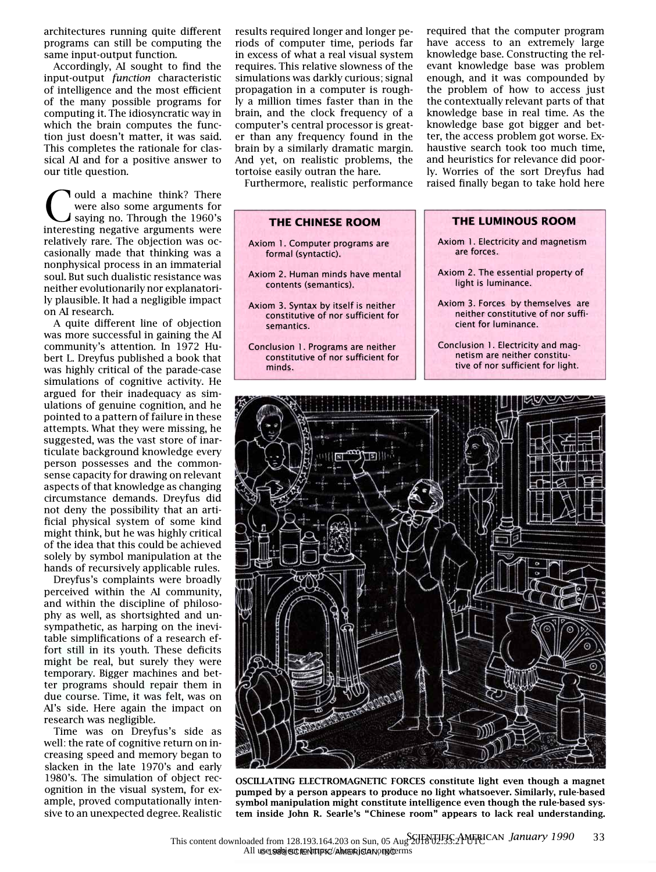architectures running quite different programs can still be computing the same input-output function.

Accordingly, Ai sought to find the input-output *function* characteristic of intelligence and the most efficient of the many possible programs for computing it. The idiosyncratic way in which the brain computes the function just doesn't matter, it was said. This completes the rationale for classical Ai and for a positive answer to our title question.

C ould a machine think? There were also some arguments for saying no. Through the 1960's interesting negative arguments were relatively rare. The objection was occasionally made that thinking was a nonphysical process in an immaterial soul. But such dualistic resistance was neither evolutionarily nor explanatorily plausible. It had a negligible impact on Ai research.

A quite different line of objection was more successful in gaining the Ai community's attention. In 1972 Hubert L. Dreyfus published a book that was highly critical of the parade-case simulations of cognitive activity. He argued for their inadequacy as simulations of genuine cognition, and he pointed to a pattern of failure in these attempts. What they were missing, he suggested, was the vast store of inarticulate background knowledge every person possesses and the commonsense capacity for drawing on relevant aspects of that knowledge as changing circumstance demands. Dreyfus did not deny the possibility that an artificial physical system of some kind might think, but he was highly critical of the idea that this could be achieved solely by symbol manipulation at the hands of recursively applicable rules.

Dreyfus's complaints were broadly perceived within the Ai community, and within the discipline of philosophy as well, as shortsighted and unsympathetic, as harping on the inevitable simplifications of a research effort still in its youth. These deficits might be real, but surely they were temporary. Bigger machines and better programs should repair them in due course. Time, it was felt, was on Ai's side. Here again the impact on research was negligible.

Time was on Dreyfus's side as well: the rate of cognitive return on increasing speed and memory began to slacken in the late 1970's and early 1980's. The simulation of object recognition in the visual system, for example, proved computationally intensive to an unexpected degree. Realistic

results required longer and longer periods of computer time, periods far in excess of what a real visual system requires. This relative slowness of the simulations was darkly curious; signal propagation in a computer is roughly a million times faster than in the brain, and the clock frequency of a computer's central processor is greater than any frequency found in the brain by a similarly dramatic margin. And yet, on realistic problems, the tortoise easily outran the hare.

Furthermore, realistic performance

#### THE CHINESE ROOM

- Axiom 1. Computer programs are formal (syntactic).
- Axiom 2. Human minds have mental contents (semantics).
- Axiom 3. Syntax by itself is neither constitutive of nor sufficient for semantics.
- Conclusion 1. Programs are neither constitutive of nor sufficient for minds.

required that the computer program have access to an extremely large knowledge base. Constructing the relevant knowledge base was problem enough, and it was compounded by the problem of how to access just the contextually relevant parts of that knowledge base in real time. As the knowledge base got bigger and better, the access problem got worse. Exhaustive search took too much time, and heuristics for relevance did poorly. Worries of the sort Dreyfus had raised finally began to take hold here

#### THE LUMINOUS ROOM

- Axiom 1. Electricity and magnetism are forces.
- Axiom 2. The essential property of light is luminance.
- Axiom 3. Forces by themselves are neither constitutive of nor sufficient for luminance.
- Conclusion 1. Electricity and magnetism are neither constitutive of nor sufficient for light.



OSCILlATING ELECTROMAGNETIC FORCES constitute light even though a magnet pumped by a person appears to produce no light whatsoever. Similarly, rule-based symbol manipulation might constitute intelligence even though the rule-based system inside John R. Searle's "Chinese room" appears to lack real understanding\_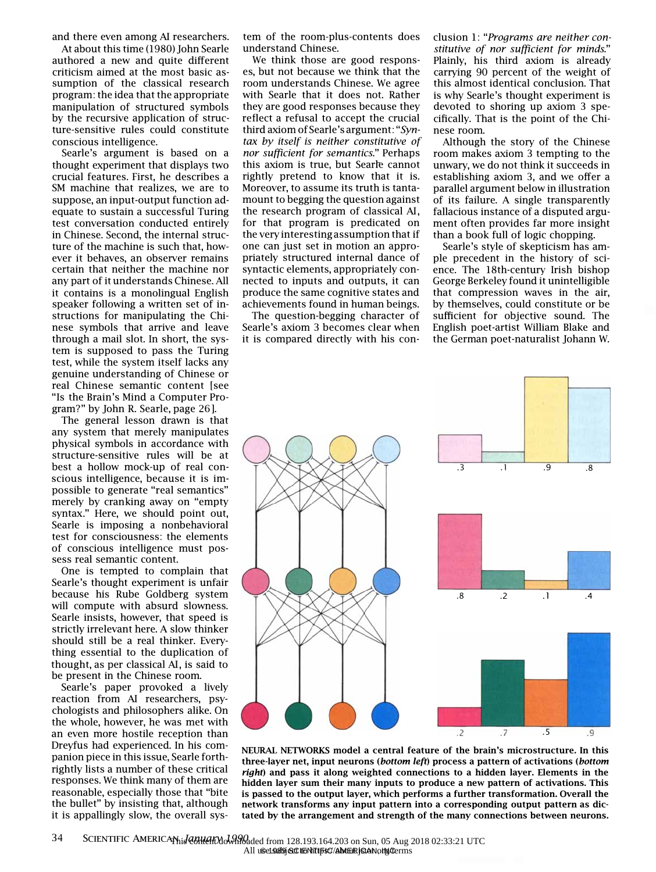and there even among AI researchers.

At about this time (1980) John Searle authored a new and quite different criticism aimed at the most basic assumption of the classical research program: the idea that the appropriate manipulation of structured symbols by the recursive application of structure-sensitive rules could constitute conscious intelligence.

Searle's argument is based on a thought experiment that displays two crucial features. First, he describes a SM machine that realizes, we are to suppose, an input-output function adequate to sustain a successful Turing test conversation conducted entirely in Chinese. Second, the internal structure of the machine is such that, however it behaves, an observer remains certain that neither the machine nor any part of it understands Chinese. AIl it contains is a monolingual English speaker following a written set of instructions for manipulating the Chinese symbols that arrive and leave through a mail slot. In short, the system is supposed to pass the Turing test, while the system itself lacks any genuine understanding of Chinese or real Chinese semantic content [see "Is the Brain's Mind a Computer Program?" by John R. Searle, page 26].

The general lesson drawn is that any system that merely manipulates physical symbols in accordance with structure-sensitive rules will be at best a hollow mock-up of real conscious intelligence, because it is impossible to generate "real semantics" merely by cranking away on "empty syntax." Here, we should point out, Searle is imposing a nonbehavioral test for consciousness: the elements of conscious intelligence must possess real semantic content.

One is tempted to complain that Searle's thought experiment is unfair because his Rube Goldberg system will compute with absurd slowness. Searle insists, however, that speed is strictly irrelevant here. A slow thinker should still be a real thinker. Everything essential to the duplication of thought, as per classical AI, is said to be present in the Chinese room.

Searle's paper provoked a lively reaction from AI researchers, psychologists and philosophers alike. On the whole, however, he was met with an even more hostile reception than Dreyfus had experienced. In his companion piece in this issue, Searle forthrightly lists a number of these critical responses. We think many of them are reasonable, especially those that "bite the bullet" by insisting that, although it is appallingly slow, the overall system of the room-plus-contents does understand Chinese.

We think those are good responses, but not because we think that the room understands Chinese. We agree with Searle that it does not. Rather they are good responses because they reflect a refusal to accept the crucial third axiom of Searle's argument: "Syntax by itself is neither constitutive of nor sufficient for semantics." Perhaps this axiom is true, but Searle cannot rightly pretend to know that it is. Moreover, to assume its truth is tantamount to begging the question against the research program of classical AI, for that program is predicated on the very interesting assumption that if one can just set in motion an appropriately structured internal dance of syntactic elements, appropriately connected to inputs and outputs, it can produce the same cognitive states and achievements found in human beings.

The question-begging character of Searle's axiom 3 becomes clear when it is compared directly with his conclusion 1: "Programs are neither constitutive of nor sufficient for minds." Plainly, his third axiom is already carrying 90 percent of the weight of this almost identical conclusion. That is why Searle's thought experiment is devoted to shoring up axiom 3 spe-Cifically. That is the point of the Chinese room.

AIthough the story of the Chinese room makes axiom 3 tempting to the unwary, we do not think it succeeds in establishing axiom 3, and we offer a parallel argument below in illustration of its failure. A single transparently fallacious instance of a disputed argument often provides far more insight than a book full of logic chopping.

Searle's style of skepticism has ample precedent in the history of science. The 18th-century Irish bishop George Berkeley found it unintelligible that compression waves in the air, by themselves, could constitute or be sufficient for objective sound. The English poet-artist William Blake and the German poet-naturalist Johann W.



NEURAL NETWORKS model a central feature of the brain's microstructure. In this three-layer net, input neurons (bottom left) process a pattern of activations (bottom right) and pass it along weighted connections to a hidden layer. Elements in the hidden layer sum their many inputs to produce a new pattern of activations. This is passed to the output layer, which performs a further transformation. Overall the network transforms any input pattern into a corresponding output pattern as dictated by the arrangement and strength of the many connections between neurons.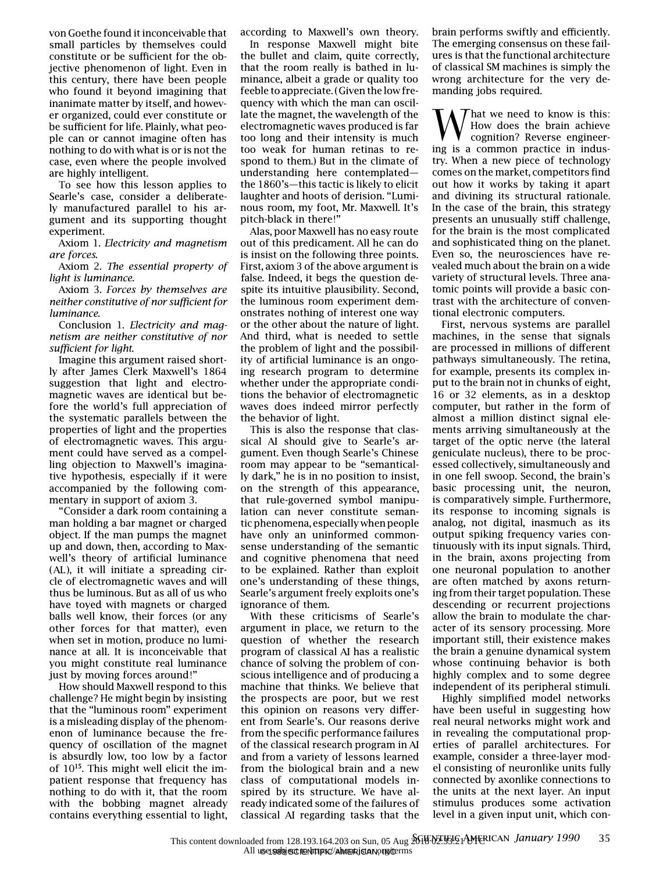von Goethe found it inconceivable that small particles by themselves could constitute or be sufficient for the objective phenomenon of light. Even in this century, there have been people who found it beyond imagining that inanimate matter by itself, and however organized, could ever constitute or be sufficient for life. Plainly, what people can or cannot imagine often has nothing to do with what is or is not the case, even where the people involved are highly intelligent.

To see how this lesson applies to Searle's case, consider a deliberately manufactured parallel to his argument and its supporting thought experiment.

Axiom 1. Electricity and magnetism are forces.

Axiom 2. The essential property of light is luminance.

Axiom 3. Forces by themselves are neither constitutive of nor sufficient for luminance.

Conclusion 1. Electricity and magnetism are neither constitutive of nor sufficient for light.

Imagine this argument raised shortly after James Clerk Maxwell's 1864 suggestion that light and electromagnetic waves are identical but before the world's full appreciation of the systematic parallels between the properties of light and the properties of electromagnetic waves. This argument could have served as a compelling objection to Maxwell's imaginative hypothesis, especially if it were accompanied by the following commentary in support of axiom 3.

"Consider a dark room containing a man holding a bar magnet or charged object. If the man pumps the magnet up and down, then, according to Maxwell's theory of artificial luminance (AL), it will initiate a spreading circle of electromagnetic waves and will thus be luminous. But as all of us who have toyed with magnets or charged balls well know, their forces (or any other forces for that matter), even when set in motion, produce no luminance at alL It is inconceivable that you might constitute real luminance just by moving forces around!"

How should Maxwell respond to this challenge? He might begin by insisting that the "luminous room" experiment is a misleading display of the phenomenon of luminance because the frequency of oscillation of the magnet is absurdly low, too low by a factor of  $10^{15}$ . This might well elicit the impatient response that frequency has nothing to do with it, that the room with the bobbing magnet already contains everything essential to light, according to Maxwell's own theory.

In response Maxwell might bite the bullet and claim, quite correctly, that the room really is bathed in luminance, albeit a grade or quality too feeble to appreciate. (Given the low frequency with which the man can oscillate the magnet, the wavelength of the electromagnetic waves produced is far too long and their intensity is much too weak for human retinas to respond to them.) But in the climate of understanding here contemplatedthe 1860's-this tactic is likely to elicit laughter and hoots of derision. "Luminous room, my foot, Mr. Maxwell. It's pitch-black in there!"

Alas, poor Maxwell has no easy route out of this predicament. All he can do is insist on the following three points. First, axiom 3 of the above argument is false. Indeed, it begs the question despite its intuitive plausibility. Second, the luminous room experiment demonstrates nothing of interest one way or the other about the nature of light. And third, what is needed to settle the problem of light and the possibility of artificial luminance is an ongoing research program to determine whether under the appropriate conditions the behavior of electromagnetic waves does indeed mirror perfectly the behavior of light.

This is also the response that classical AI should give to Searle's argument. Even though Searle's Chinese room may appear to be "semantically dark," he is in no position to insist, on the strength of this appearance, that rule-governed symbol manipulation can never constitute semantic phenomena, especially when people have only an uninformed commonsense understanding of the semantic and cognitive phenomena that need to be explained. Rather than exploit one's understanding of these things, Searle's argument freely exploits one's ignorance of them.

With these criticisms of Searle's argument in place, we return to the question of whether the research program of classical AI has a realistic chance of solving the problem of conscious intelligence and of producing a machine that thinks. We believe that the prospects are poor, but we rest this opinion on reasons very different from Searle's. Our reasons derive from the specific performance failures of the classical research program in AI and from a variety of lessons learned from the biological brain and a new class of computational models inspired by its structure. We have already indicated some of the failures of classical AI regarding tasks that the

brain performs swiftly and efficiently. The emerging consensus on these failures is that the functional architecture of classical SM machines is simply the wrong architecture for the very demanding jobs required.

 $\rm W$ That we need to know is this: How does the brain achieve cognition? Reverse engineering is a common practice in industry. When a new piece of technology comes on the market, competitors find out how it works by taking it apart and divining its structural rationale. In the case of the brain, this strategy presents an unusually stiff challenge, for the brain is the most complicated and sophisticated thing on the planet. Even so, the neurosciences have revealed much about the brain on a wide variety of structural levels. Three anatomic points will provide a basic contrast with the architecture of conventional electronic computers.

First, nervous systems are parallel machines, in the sense that signals are processed in millions of different pathways simultaneously. The retina, for example, presents its complex input to the brain not in chunks of eight, 16 or 32 elements, as in a desktop computer, but rather in the form of almost a million distinct signal elements arriving simultaneously at the target of the optic nerve (the lateral geniculate nucleus), there to be processed collectively, simultaneously and in one fell swoop. Second, the brain's basic processing unit, the neuron, is comparatively simple. Furthermore, its response to incoming signals is analog, not digital, inasmuch as its output spiking frequency varies continuously with its input signals. Third, in the brain, axons projecting from one neuronal population to another are often matched by axons returning from their target population. These descending or recurrent projections allow the brain to modulate the character of its sensory processing. More important still, their existence makes the brain a genuine dynamical system whose continuing behavior is both highly complex and to some degree independent of its peripheral stimuli.

Highly Simplified model networks have been useful in suggesting how real neural networks might work and in revealing the computational properties of parallel architectures. For example, consider a three-layer model consisting of neuronlike units fully connected by axonlike connections to the units at the next layer. An input stimulus produces some activation level in a given input unit, which con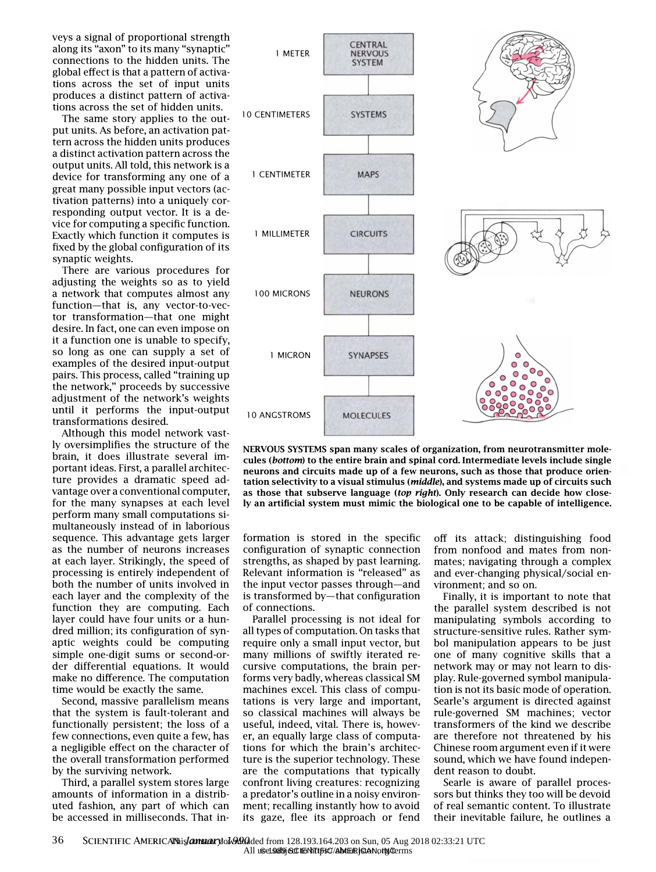veys a signal of proportional strength along its "axon" to its many "synaptic" connections to the hidden units. The global effect is that a pattern of activations across the set of input units produces a distinct pattern of activations across the set of hidden units.

The same story applies to the output units. As before, an activation pattern across the hidden units produces a distinct activation pattern across the output units. All told, this network is a device for transforming any one of a great many possible input vectors (activation patterns) into a uniquely corresponding output vector. It is a device for computing a specific function. Exactly which function it computes is fixed by the global configuration of its synaptic weights.

There are various procedures for adjusting the weights so as to yield a network that computes almost any function-that is, any vector-to-vector transformation-that one might desire. In fact, one can even impose on it a function one is unable to specify, so long as one can supply a set of examples of the desired input-output pairs. This process, called "training up the network," proceeds by successive adjustment of the network's weights until it performs the input· output transformations desired.

Although this model network vastly oversimplifies the structure of the brain, it does illustrate several important ideas. First, a parallel architecture provides a dramatic speed advantage over a conventional computer, for the many synapses at each level perform many small computations simultaneously instead of in laborious sequence. This advantage gets larger as the number of neurons increases at each layer. Strikingly, the speed of processing is entirely independent of both the number of units involved in each layer and the complexity of the function they are computing. Each layer could have four units or a hundred million; its configuration of synaptic weights could be computing simple one-digit sums or second-order differential equations. It would make no difference. The computation time would be exactly the same.

Second, massive parallelism means that the system is fault-tolerant and functionally persistent; the loss of a few connections, even quite a few, has a negligible effect on the character of the overall transformation performed by the surviving network.

Third, a parallel system stores large amounts of information in a distributed fashion, any part of which can be accessed in milliseconds. That in-



NERVOUS SYSTEMS span many scales of organization, from neurotransmitter mole· cules (bottom) to the entire brain and spinal cord. Intermediate levels include single neurons and circuits made up of a few neurons, such as those that produce orien· tation selectivity to a visual stimulus (middle), and systems made up of circuits such as those that subserve language (top right). Only research can decide how closely an artificial system must mimic the biological one to be capable of intelligence.

formation is stored in the specific configuration of synaptic connection strengths, as shaped by past learning. Relevant information is "released" as the input vector passes through-and is transformed by-that configuration of connections.

Parallel processing is not ideal for all types of computation. On tasks that require only a small input vector, but many millions of swiftly iterated recursive computations, the brain performs very badly, whereas classical SM machines excel. This class of computations is very large and important, so classical machines will always be useful, indeed, vital. There is, however, an equally large class of computations for which the brain's architecture is the superior technology. These are the computations that typically confront living creatures: recognizing a predator's outline in a noisy environment; recalling instantly how to avoid its gaze, flee its approach or fend

off its attack; distinguishing food from nonfood and mates from nonmates; navigating through a complex and ever-changing physical/social environment; and so on.

Finally, it is important to note that the parallel system described is not manipulating symbols according to structure-sensitive rules. Rather symbol manipulation appears to be just one of many cognitive skills that a network may or may not learn to display. Rule-governed symbol manipulation is not its basic mode of operation. Searle's argument is directed against rule-governed SM machines; vector transformers of the kind we describe are therefore not threatened by his Chinese room argument even if it were sound, which we have found independent reason to doubt.

Searle is aware of parallel processors but thinks they too will be devoid of real semantic content. To illustrate their inevitable failure, he outlines a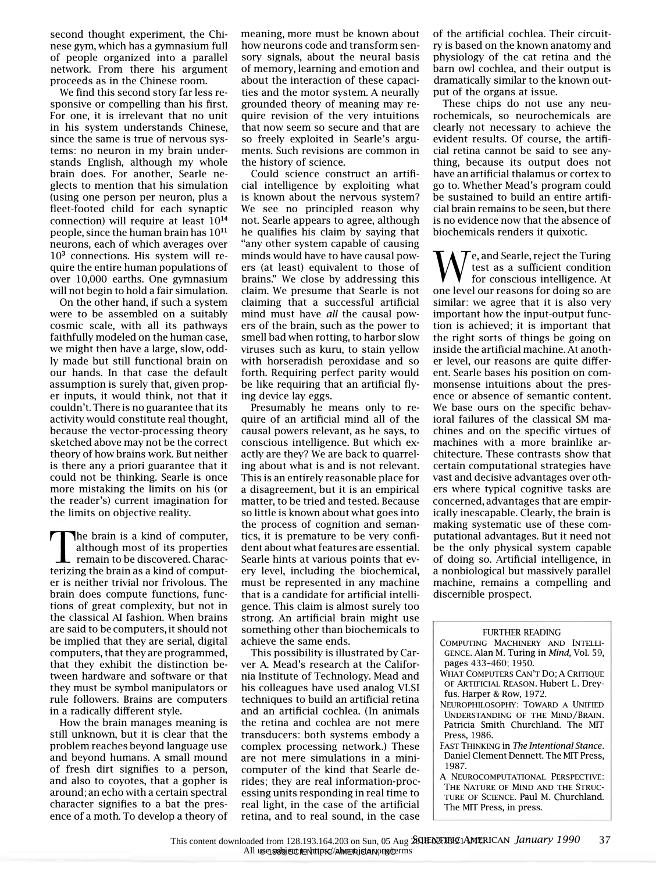second thought experiment, the Chinese gym, which has a gymnasium full of people organized into a parallel network. From there his argument proceeds as in the Chinese room.

We find this second story far less responsive or compelling than his first. For one, it is irrelevant that no unit in his system understands Chinese, since the same is true of nervous systems: no neuron in my brain understands English, although my whole brain does. For another, Searle neglects to mention that his simulation (using one person per neuron, plus a fleet-footed child for each synaptic connection) will require at least 1014 people, since the human brain has 1011 neurons, each of which averages over  $10<sup>3</sup>$  connections. His system will require the entire human populations of over 10,000 earths. One gymnasium will not begin to hold a fair simulation.

On the other hand, if such a system were to be assembled on a suitably cosmic scale, with all its pathways faithfully modeled on the human case, we might then have a large, slow, oddly made but still functional brain on our hands. In that case the default assumption is surely that, given proper inputs, it would think, not that it couldn't. There is no guarantee that its activity would constitute real thought, because the vector-processing theory sketched above may not be the correct theory of how brains work. But neither is there any a priori guarantee that it could not be thinking. Searle is once more mistaking the limits on his (or the reader's) current imagination for the limits on objective reality.

T he brain is a kind of computer, although most of its properties remain to be discovered. Characterizing the brain as a kind of computer is neither trivial nor frivolous. The brain does compute functions, functions of great complexity, but not in the classical AI fashion. When brains are said to be computers, it should not be implied that they are serial, digital computers, that they are programmed, that they exhibit the distinction between hardware and software or that they must be symbol manipulators or rule followers. Brains are computers in a radically different style.

How the brain manages meaning is still unknown, but it is clear that the problem reaches beyond language use and beyond humans. A small mound of fresh dirt signifies to a person, and also to coyotes, that a gopher is around; an echo with a certain spectral character signifies to a bat the presence of a moth. To develop a theory of meaning, more must be known about how neurons code and transform sensory signals, about the neural basis of memory, learning and emotion and about the interaction of these capacities and the motor system. A neurally grounded theory of meaning may require revision of the very intuitions that now seem so secure and that are so freely exploited in Searle's arguments. Such revisions are common in the history of science.

Could science construct an artificial intelligence by exploiting what is known about the nervous system? We see no principled reason why not. Searle appears to agree, although he qualifies his claim by saying that "any other system capable of causing minds would have to have causal powers (at least) equivalent to those of brains." We close by addressing this claim. We presume that Searle is not claiming that a successful artificial mind must have all the causal powers of the brain, such as the power to smell bad when rotting, to harbor slow viruses such as kuru, to stain yellow with horseradish peroxidase and so forth. Requiring perfect parity would be like requiring that an artificial flying device lay eggs.

Presumably he means only to require of an artificial mind all of the causal powers relevant, as he says, to conscious intelligence. But which exactly are they? We are back to quarreling about what is and is not relevant. This is an entirely reasonable place for a disagreement, but it is an empirical matter, to be tried and tested. Because so little is known about what goes into the process of cognition and semantics, it is premature to be very confident about what features are essential. Searle hints at various points that every level, including the biochemical, must be represented in any machine that is a candidate for artificial intelligence. This claim is almost surely too strong. An artificial brain might use something other than biochemicals to achieve the same ends.

This possibility is illustrated by Carver A. Mead's research at the California Institute of Technology. Mead and his colleagues have used analog VLSI techniques to build an artificial retina and an artificial cochlea. (In animals the retina and cochlea are not mere transducers: both systems embody a complex processing network.) These are not mere simulations in a minicomputer of the kind that Searle derides; they are real information-processing units responding in real time to real light, in the case of the artificial retina, and to real sound, in the case of the artificial cochlea. Their circuitry is based on the known anatomy and physiology of the cat retina and the barn owl cochlea, and their output is dramatically similar to the known output of the organs at issue.

These chips do not use any neurochemicals, so neurochemicals are clearly not necessary to achieve the evident results. Of course, the artificial retina cannot be said to see anything, because its output does not have an artificial thalamus or cortex to go to. Whether Mead's program could be sustained to build an entire artificial brain remains to be seen, but there is no evidence now that the absence of biochemicals renders it quixotic.

 $\mathbf{W}^{\text{e, and Searle, reject the Turing}}$  test as a sufficient condition<br>for conscious intelligence. At test as a sufficient condition for conscious intelligence. At one level our reasons for doing so are similar: we agree that it is also very important how the input-output function is achieved; it is important that the right sorts of things be going on inside the artificial machine. At another level, our reasons are quite different. Searle bases his position on commonsense intuitions about the presence or absence of semantic content. We base ours on the specific behavioral failures of the classical SM machines and on the specific virtues of machines with a more brainlike architecture. These contrasts show that certain computational strategies have vast and decisive advantages over others where typical cognitive tasks are concerned, advantages that are empirically inescapable. Clearly, the brain is making systematic use of these computational advantages. But it need not be the only physical system capable of doing so. Artificial intelligence, in a nonbiological but massively parallel machine, remains a compelling and discernible prospect.

- COMPUTING MACHINERY AND INTELLI-GENCE. Alan M. Turing in Mind, Vol. 59, pages 433-460; 1950.
- WHAT COMPUTERS CAN'T Do; A CRITIQUE OF ARTIFICIAL REASON. Hubert L. Dreyfus. Harper & Row, 1972.
- NEUROPHILOSOPHY: TOWARD A UNIFIED UNDERSTANDING OF THE MIND/BRAIN. Patricia Smith Churchland. The MIT Press, 1986.
- FAST THINKING in The Intentional Stance. Daniel Clement Dennett. The MIT Press, 1987.
- A NEUROCOMPUTATIONAL PERSPECTIVE: THE NATURE OF MIND AND THE STRUC-TURE OF SCIENCE. Paul M. Churchland. The MIT Press, in press.

FURTHER READING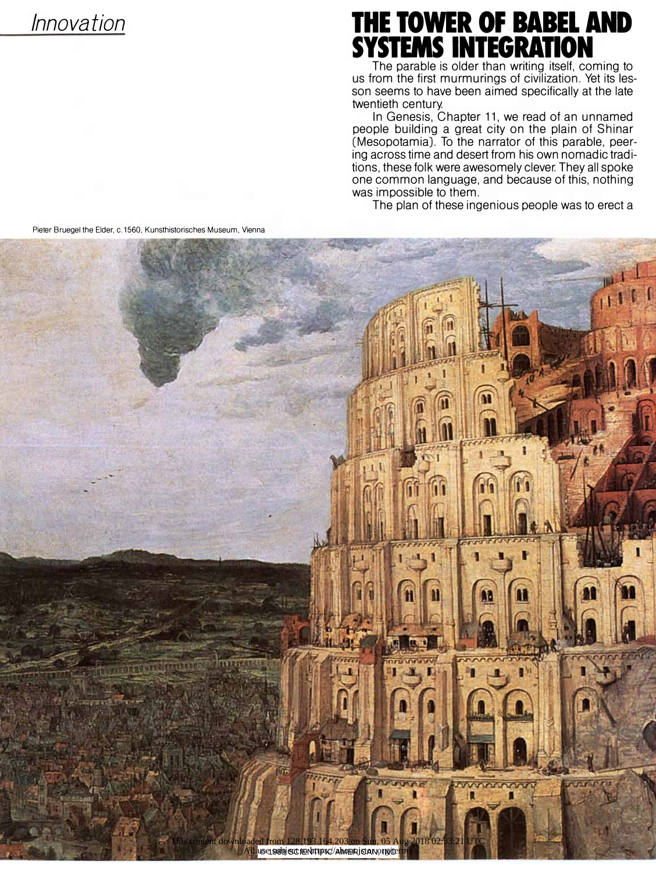### THE TOWER OF BABEL AND SYSTEMS INTEGRATION

The parable is older than writing itself, coming to us from the first murmurings of civilization. Yet its lesson seems to have been aimed specifically at the late twentieth century.

In Genesis, Chapter 11, we read of an unnamed people building a great city on the plain of Shinar (Mesopotamia). To the narrator of this parable, peering across time and desert from his own nomadic traditions, these folk were awesomely clever. They all spoke one common language, and because of this, nothing was impossible to them.

The plan of these ingenious people was to erect a

Pieter Bruegel the Elder. c.1560. Kunsthistorisches Museum, Vienna